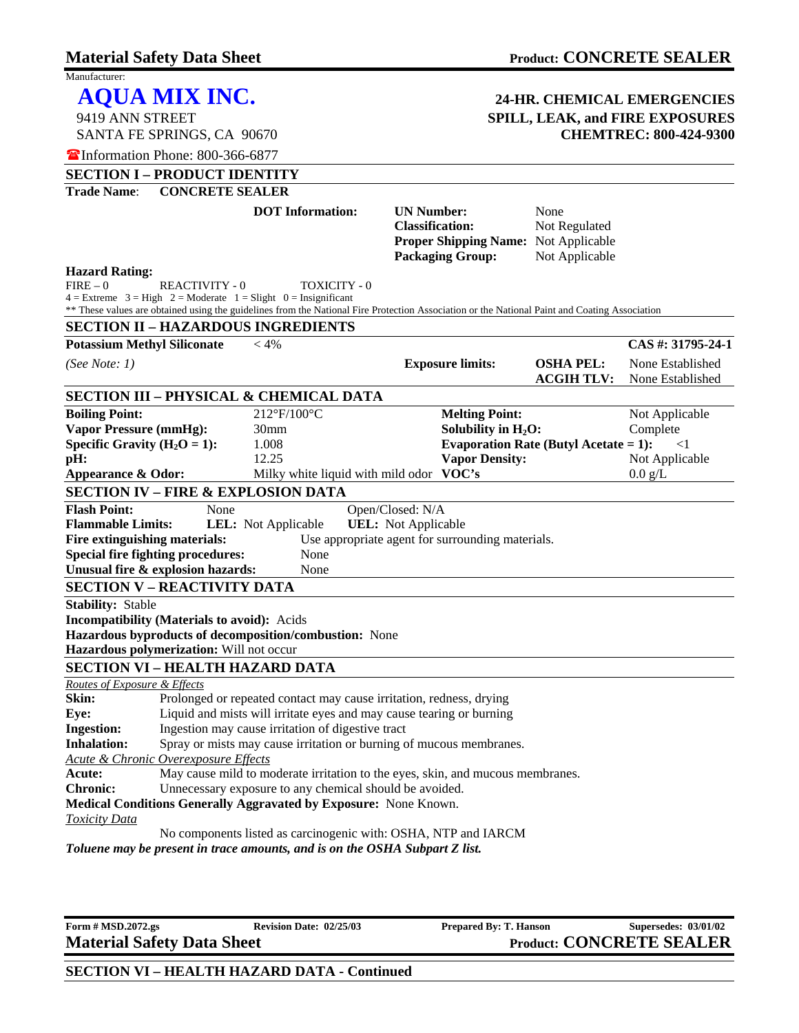SANTA FE SPRINGS, CA 90670

Manufacturer:

## **AQUA MIX INC. 24-HR. CHEMICAL EMERGENCIES**  9419 ANN STREET **SPILL, LEAK, and FIRE EXPOSURES**

|                                                                                                                                                                                                                                                                                                                                                                     | The Information Phone: 800-366-6877  |                                                                                                                                                                                                                                                                                                                                                                                                                                                                                                                                                                                                                                           |                                                                                                                |                                          |                                                                               |  |
|---------------------------------------------------------------------------------------------------------------------------------------------------------------------------------------------------------------------------------------------------------------------------------------------------------------------------------------------------------------------|--------------------------------------|-------------------------------------------------------------------------------------------------------------------------------------------------------------------------------------------------------------------------------------------------------------------------------------------------------------------------------------------------------------------------------------------------------------------------------------------------------------------------------------------------------------------------------------------------------------------------------------------------------------------------------------------|----------------------------------------------------------------------------------------------------------------|------------------------------------------|-------------------------------------------------------------------------------|--|
|                                                                                                                                                                                                                                                                                                                                                                     | <b>SECTION I - PRODUCT IDENTITY</b>  |                                                                                                                                                                                                                                                                                                                                                                                                                                                                                                                                                                                                                                           |                                                                                                                |                                          |                                                                               |  |
| <b>Trade Name:</b>                                                                                                                                                                                                                                                                                                                                                  | <b>CONCRETE SEALER</b>               |                                                                                                                                                                                                                                                                                                                                                                                                                                                                                                                                                                                                                                           |                                                                                                                |                                          |                                                                               |  |
|                                                                                                                                                                                                                                                                                                                                                                     |                                      | <b>DOT</b> Information:                                                                                                                                                                                                                                                                                                                                                                                                                                                                                                                                                                                                                   | <b>UN Number:</b><br><b>Classification:</b><br>Proper Shipping Name: Not Applicable<br><b>Packaging Group:</b> | None<br>Not Regulated<br>Not Applicable  |                                                                               |  |
| <b>Hazard Rating:</b><br>$FIRE - 0$                                                                                                                                                                                                                                                                                                                                 | REACTIVITY - 0                       | TOXICITY - 0<br>$4 =$ Extreme $3 =$ High $2 =$ Moderate $1 =$ Slight $0 =$ Insignificant<br>** These values are obtained using the guidelines from the National Fire Protection Association or the National Paint and Coating Association                                                                                                                                                                                                                                                                                                                                                                                                 |                                                                                                                |                                          |                                                                               |  |
|                                                                                                                                                                                                                                                                                                                                                                     |                                      | <b>SECTION II - HAZARDOUS INGREDIENTS</b>                                                                                                                                                                                                                                                                                                                                                                                                                                                                                                                                                                                                 |                                                                                                                |                                          |                                                                               |  |
| <b>Potassium Methyl Siliconate</b>                                                                                                                                                                                                                                                                                                                                  |                                      | $< 4\%$                                                                                                                                                                                                                                                                                                                                                                                                                                                                                                                                                                                                                                   |                                                                                                                |                                          | CAS#: 31795-24-1                                                              |  |
| (See Note: $1)$                                                                                                                                                                                                                                                                                                                                                     |                                      |                                                                                                                                                                                                                                                                                                                                                                                                                                                                                                                                                                                                                                           | <b>Exposure limits:</b>                                                                                        | <b>OSHA PEL:</b><br><b>ACGIH TLV:</b>    | None Established<br>None Established                                          |  |
|                                                                                                                                                                                                                                                                                                                                                                     |                                      | <b>SECTION III - PHYSICAL &amp; CHEMICAL DATA</b>                                                                                                                                                                                                                                                                                                                                                                                                                                                                                                                                                                                         |                                                                                                                |                                          |                                                                               |  |
| <b>Boiling Point:</b><br><b>Vapor Pressure (mmHg):</b><br>Specific Gravity $(H_2O = 1)$ :<br>pH:<br>Appearance & Odor:                                                                                                                                                                                                                                              |                                      | 212°F/100°C<br>30 <sub>mm</sub><br>1.008<br>12.25<br>Milky white liquid with mild odor VOC's                                                                                                                                                                                                                                                                                                                                                                                                                                                                                                                                              | <b>Melting Point:</b><br>Solubility in $H_2O$ :<br><b>Vapor Density:</b>                                       | Evaporation Rate (Butyl Acetate = $1$ ): | Not Applicable<br>Complete<br>$\leq$ 1<br>Not Applicable<br>$0.0 \text{ g/L}$ |  |
|                                                                                                                                                                                                                                                                                                                                                                     |                                      | <b>SECTION IV - FIRE &amp; EXPLOSION DATA</b>                                                                                                                                                                                                                                                                                                                                                                                                                                                                                                                                                                                             |                                                                                                                |                                          |                                                                               |  |
| <b>Flash Point:</b><br>Open/Closed: N/A<br>None<br><b>Flammable Limits:</b><br><b>UEL:</b> Not Applicable<br><b>LEL:</b> Not Applicable<br>Use appropriate agent for surrounding materials.<br>Fire extinguishing materials:<br><b>Special fire fighting procedures:</b><br>None<br>Unusual fire & explosion hazards:<br>None<br><b>SECTION V - REACTIVITY DATA</b> |                                      |                                                                                                                                                                                                                                                                                                                                                                                                                                                                                                                                                                                                                                           |                                                                                                                |                                          |                                                                               |  |
| <b>Stability: Stable</b>                                                                                                                                                                                                                                                                                                                                            |                                      |                                                                                                                                                                                                                                                                                                                                                                                                                                                                                                                                                                                                                                           |                                                                                                                |                                          |                                                                               |  |
| <b>Incompatibility (Materials to avoid):</b> Acids<br>Hazardous byproducts of decomposition/combustion: None<br>Hazardous polymerization: Will not occur<br><b>SECTION VI - HEALTH HAZARD DATA</b>                                                                                                                                                                  |                                      |                                                                                                                                                                                                                                                                                                                                                                                                                                                                                                                                                                                                                                           |                                                                                                                |                                          |                                                                               |  |
| Routes of Exposure & Effects                                                                                                                                                                                                                                                                                                                                        |                                      |                                                                                                                                                                                                                                                                                                                                                                                                                                                                                                                                                                                                                                           |                                                                                                                |                                          |                                                                               |  |
| Skin:<br>Eye:<br><b>Ingestion:</b><br><b>Inhalation:</b><br>Acute:<br><b>Chronic:</b><br><b>Toxicity Data</b>                                                                                                                                                                                                                                                       | Acute & Chronic Overexposure Effects | Prolonged or repeated contact may cause irritation, redness, drying<br>Liquid and mists will irritate eyes and may cause tearing or burning<br>Ingestion may cause irritation of digestive tract<br>Spray or mists may cause irritation or burning of mucous membranes.<br>May cause mild to moderate irritation to the eyes, skin, and mucous membranes.<br>Unnecessary exposure to any chemical should be avoided.<br>Medical Conditions Generally Aggravated by Exposure: None Known.<br>No components listed as carcinogenic with: OSHA, NTP and IARCM<br>Toluene may be present in trace amounts, and is on the OSHA Subpart Z list. |                                                                                                                |                                          |                                                                               |  |
|                                                                                                                                                                                                                                                                                                                                                                     |                                      |                                                                                                                                                                                                                                                                                                                                                                                                                                                                                                                                                                                                                                           |                                                                                                                |                                          |                                                                               |  |

**Form # MSD.2072.gs** Revision Date: 02/25/03 Prepared By: T. Hanson Supersedes: 03/01/02<br> **Material Safety Data Sheet** Product: CONCRETE SEALER

**Product: CONCRETE SEALER**